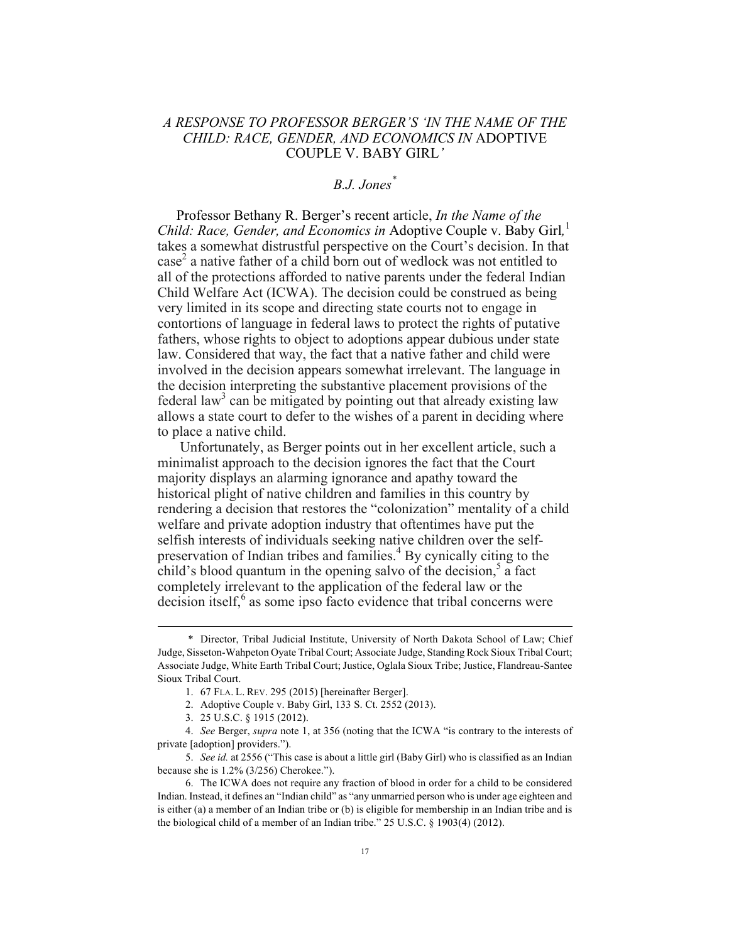## *A RESPONSE TO PROFESSOR BERGER'S 'IN THE NAME OF THE CHILD: RACE, GENDER, AND ECONOMICS IN* ADOPTIVE COUPLE V. BABY GIRL*'*

## *B.J. Jones\**

Professor Bethany R. Berger's recent article, *In the Name of the Child: Race, Gender, and Economics in* Adoptive Couple v. Baby Girl*,* 1 takes a somewhat distrustful perspective on the Court's decision. In that  $case<sup>2</sup>$  a native father of a child born out of wedlock was not entitled to all of the protections afforded to native parents under the federal Indian Child Welfare Act (ICWA). The decision could be construed as being very limited in its scope and directing state courts not to engage in contortions of language in federal laws to protect the rights of putative fathers, whose rights to object to adoptions appear dubious under state law. Considered that way, the fact that a native father and child were involved in the decision appears somewhat irrelevant. The language in the decision interpreting the substantive placement provisions of the federal law<sup>3</sup> can be mitigated by pointing out that already existing law allows a state court to defer to the wishes of a parent in deciding where to place a native child.

Unfortunately, as Berger points out in her excellent article, such a minimalist approach to the decision ignores the fact that the Court majority displays an alarming ignorance and apathy toward the historical plight of native children and families in this country by rendering a decision that restores the "colonization" mentality of a child welfare and private adoption industry that oftentimes have put the selfish interests of individuals seeking native children over the selfpreservation of Indian tribes and families.<sup>4</sup> By cynically citing to the child's blood quantum in the opening salvo of the decision, $5$  a fact completely irrelevant to the application of the federal law or the decision itself, $6$  as some ipso facto evidence that tribal concerns were

 <sup>\*</sup> Director, Tribal Judicial Institute, University of North Dakota School of Law; Chief Judge, Sisseton-Wahpeton Oyate Tribal Court; Associate Judge, Standing Rock Sioux Tribal Court; Associate Judge, White Earth Tribal Court; Justice, Oglala Sioux Tribe; Justice, Flandreau-Santee Sioux Tribal Court.

<sup>1.</sup> 67 FLA. L. REV. 295 (2015) [hereinafter Berger].

<sup>2.</sup> Adoptive Couple v. Baby Girl, 133 S. Ct. 2552 (2013).

<sup>3.</sup> 25 U.S.C. § 1915 (2012).

<sup>4.</sup> *See* Berger, *supra* note 1, at 356 (noting that the ICWA "is contrary to the interests of private [adoption] providers.").

<sup>5.</sup> *See id.* at 2556 ("This case is about a little girl (Baby Girl) who is classified as an Indian because she is 1.2% (3/256) Cherokee.").

<sup>6.</sup> The ICWA does not require any fraction of blood in order for a child to be considered Indian. Instead, it defines an "Indian child" as "any unmarried person who is under age eighteen and is either (a) a member of an Indian tribe or (b) is eligible for membership in an Indian tribe and is the biological child of a member of an Indian tribe." 25 U.S.C. § 1903(4) (2012).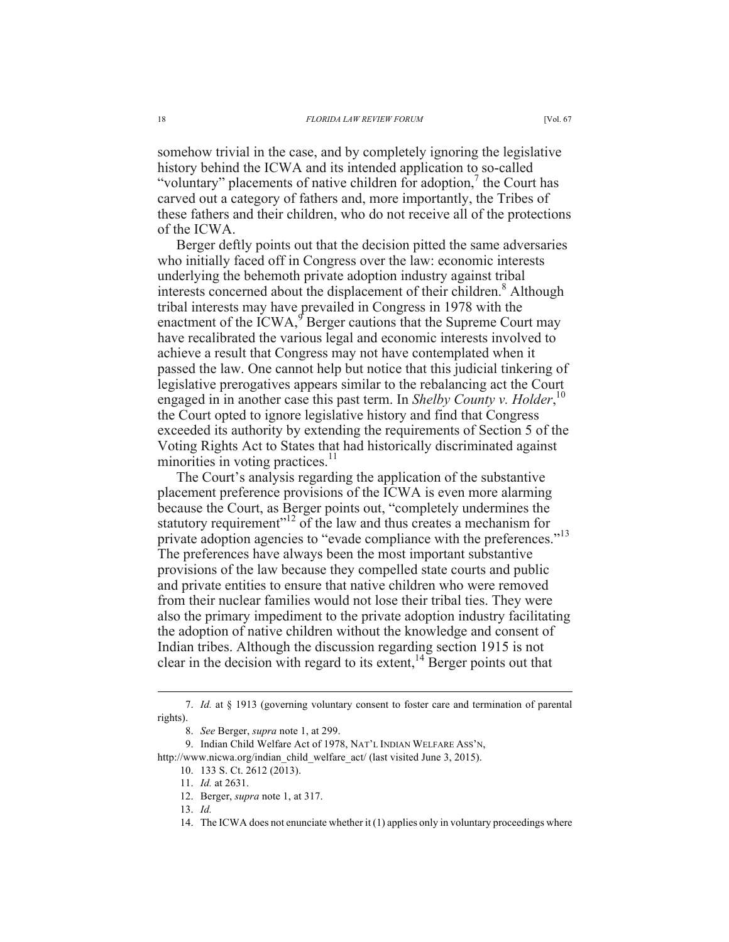somehow trivial in the case, and by completely ignoring the legislative history behind the ICWA and its intended application to so-called "voluntary" placements of native children for adoption, $\theta$  the Court has carved out a category of fathers and, more importantly, the Tribes of these fathers and their children, who do not receive all of the protections of the ICWA.

Berger deftly points out that the decision pitted the same adversaries who initially faced off in Congress over the law: economic interests underlying the behemoth private adoption industry against tribal interests concerned about the displacement of their children.<sup>8</sup> Although tribal interests may have prevailed in Congress in 1978 with the enactment of the ICWA,<sup>9</sup> Berger cautions that the Supreme Court may have recalibrated the various legal and economic interests involved to achieve a result that Congress may not have contemplated when it passed the law. One cannot help but notice that this judicial tinkering of legislative prerogatives appears similar to the rebalancing act the Court engaged in in another case this past term. In *Shelby County v. Holder*,<sup>10</sup> the Court opted to ignore legislative history and find that Congress exceeded its authority by extending the requirements of Section 5 of the Voting Rights Act to States that had historically discriminated against minorities in voting practices.<sup>11</sup>

The Court's analysis regarding the application of the substantive placement preference provisions of the ICWA is even more alarming because the Court, as Berger points out, "completely undermines the statutory requirement"<sup>12</sup> of the law and thus creates a mechanism for private adoption agencies to "evade compliance with the preferences."<sup>13</sup> The preferences have always been the most important substantive provisions of the law because they compelled state courts and public and private entities to ensure that native children who were removed from their nuclear families would not lose their tribal ties. They were also the primary impediment to the private adoption industry facilitating the adoption of native children without the knowledge and consent of Indian tribes. Although the discussion regarding section 1915 is not clear in the decision with regard to its extent,  $14$  Berger points out that

 <sup>7.</sup> *Id.* at § 1913 (governing voluntary consent to foster care and termination of parental rights).

<sup>8.</sup> *See* Berger, *supra* note 1, at 299.

<sup>9.</sup> Indian Child Welfare Act of 1978, NAT'L INDIAN WELFARE ASS'N,

http://www.nicwa.org/indian\_child\_welfare\_act/ (last visited June 3, 2015).

<sup>10.</sup> 133 S. Ct. 2612 (2013).

<sup>11.</sup> *Id.* at 2631.

<sup>12.</sup> Berger, *supra* note 1, at 317.

<sup>13.</sup> *Id.*

<sup>14.</sup> The ICWA does not enunciate whether it (1) applies only in voluntary proceedings where